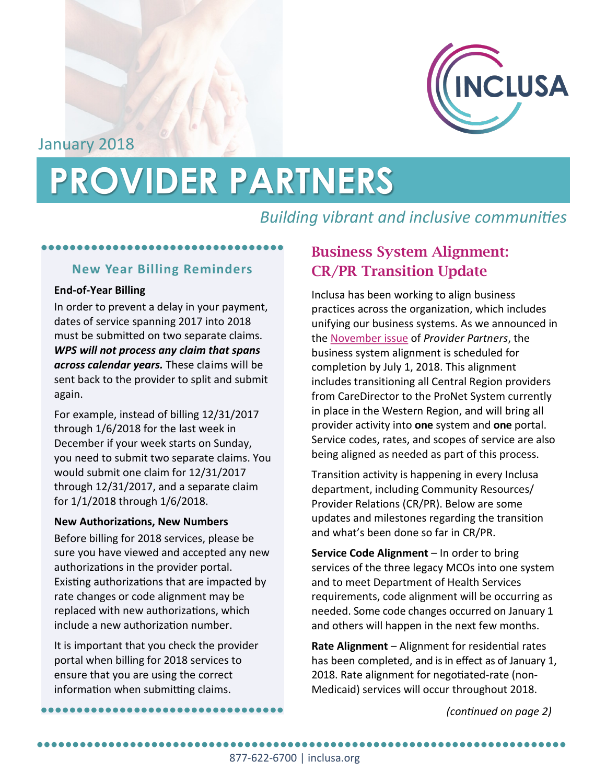

January 2018

# **PROVIDER PARTNERS**

# *Building vibrant and inclusive communities*

# ●●●●●●●●●●●●●●●●●●●●●●●●●●●●●●●●●●

### **New Year Billing Reminders**

#### **End-of-Year Billing**

In order to prevent a delay in your payment, dates of service spanning 2017 into 2018 must be submitted on two separate claims. *WPS will not process any claim that spans across calendar years.* These claims will be sent back to the provider to split and submit again.

For example, instead of billing 12/31/2017 through 1/6/2018 for the last week in December if your week starts on Sunday, you need to submit two separate claims. You would submit one claim for 12/31/2017 through 12/31/2017, and a separate claim for 1/1/2018 through 1/6/2018.

#### **New Authorizations, New Numbers**

Before billing for 2018 services, please be sure you have viewed and accepted any new authorizations in the provider portal. Existing authorizations that are impacted by rate changes or code alignment may be replaced with new authorizations, which include a new authorization number.

It is important that you check the provider portal when billing for 2018 services to ensure that you are using the correct information when submitting claims.

# **Business System Alignment: CR/PR Transition Update**

Inclusa has been working to align business practices across the organization, which includes unifying our business systems. As we announced in the [November issue](https://www.inclusa.org/wp-content/uploads/2017-11-Provider-Partners-Newsletter.pdf) of *Provider Partners*, the business system alignment is scheduled for completion by July 1, 2018. This alignment includes transitioning all Central Region providers from CareDirector to the ProNet System currently in place in the Western Region, and will bring all provider activity into **one** system and **one** portal. Service codes, rates, and scopes of service are also being aligned as needed as part of this process.

Transition activity is happening in every Inclusa department, including Community Resources/ Provider Relations (CR/PR). Below are some updates and milestones regarding the transition and what's been done so far in CR/PR.

**Service Code Alignment** – In order to bring services of the three legacy MCOs into one system and to meet Department of Health Services requirements, code alignment will be occurring as needed. Some code changes occurred on January 1 and others will happen in the next few months.

**Rate Alignment** – Alignment for residential rates has been completed, and is in effect as of January 1 2018. Rate alignment for negotiated-rate (non-Medicaid) services will occur throughout 2018.

●●●●●●●●●●●●●●●●●●●●●●●●●●●●●●●●●● *(continued on page 2)*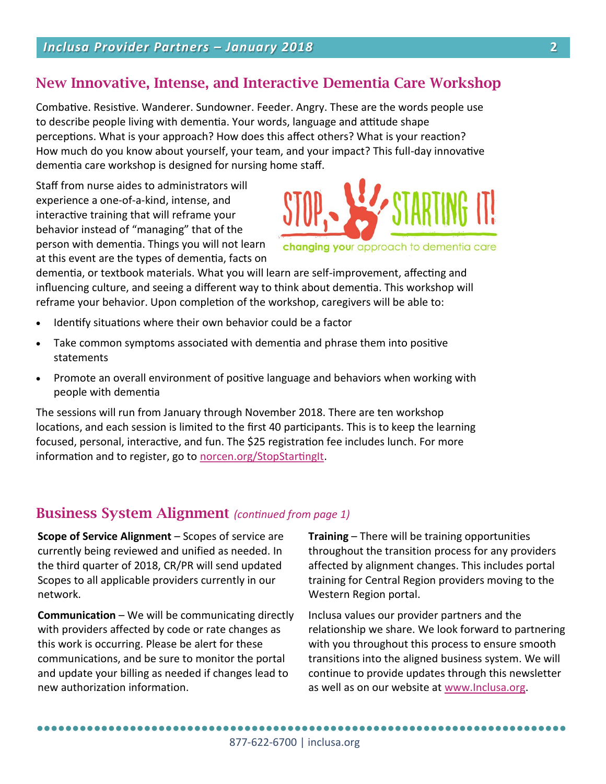## **New Innovative, Intense, and Interactive Dementia Care Workshop**

Combative. Resistive. Wanderer. Sundowner. Feeder. Angry. These are the words people use to describe people living with dementia. Your words, language and attitude shape perceptions. What is your approach? How does this affect others? What is your reaction? How much do you know about yourself, your team, and your impact? This full-day innovative dementia care workshop is designed for nursing home staff.

Staff from nurse aides to administrators will experience a one-of-a-kind, intense, and interactive training that will reframe your behavior instead of "managing" that of the person with dementia. Things you will not learn at this event are the types of dementia, facts on



changing your approach to dementia care

dementia, or textbook materials. What you will learn are self-improvement, affecting and influencing culture, and seeing a different way to think about dementia. This workshop will reframe your behavior. Upon completion of the workshop, caregivers will be able to:

- Identify situations where their own behavior could be a factor
- Take common symptoms associated with dementia and phrase them into positive statements
- Promote an overall environment of positive language and behaviors when working with people with dementia

The sessions will run from January through November 2018. There are ten workshop locations, and each session is limited to the first 40 participants. This is to keep the learning focused, personal, interactive, and fun. The \$25 registration fee includes lunch. For more information and to register, go to [norcen.org/StopStartingIt.](http://norcen.org/StopStartingIt)

## **Business System Alignment** *(continued from page 1)*

**Scope of Service Alignment** – Scopes of service are currently being reviewed and unified as needed. In the third quarter of 2018, CR/PR will send updated Scopes to all applicable providers currently in our network.

**Communication** – We will be communicating directly with providers affected by code or rate changes as this work is occurring. Please be alert for these communications, and be sure to monitor the portal and update your billing as needed if changes lead to new authorization information.

**Training** – There will be training opportunities throughout the transition process for any providers affected by alignment changes. This includes portal training for Central Region providers moving to the Western Region portal.

Inclusa values our provider partners and the relationship we share. We look forward to partnering with you throughout this process to ensure smooth transitions into the aligned business system. We will continue to provide updates through this newsletter as well as on our website at [www.Inclusa.org.](http://www.Inclusa.org)

●●●●●●●●●●●●●●●●●●●●●●●●●●●●●●●●●●●●●●●●●●●●●●●●●●●●●●●●●●●●●●●●●●●●●●●●●●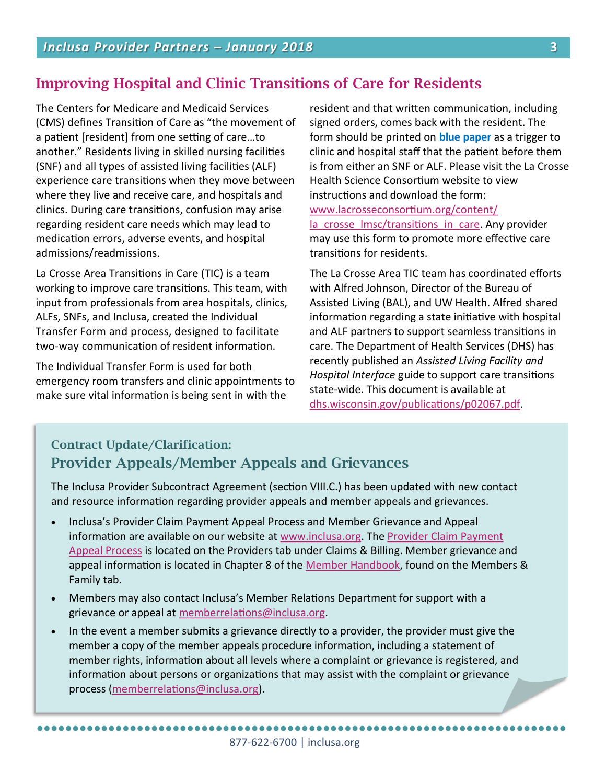## **Improving Hospital and Clinic Transitions of Care for Residents**

The Centers for Medicare and Medicaid Services (CMS) defines Transition of Care as "the movement of a patient [resident] from one setting of care…to another." Residents living in skilled nursing facilities (SNF) and all types of assisted living facilities (ALF) experience care transitions when they move between where they live and receive care, and hospitals and clinics. During care transitions, confusion may arise regarding resident care needs which may lead to medication errors, adverse events, and hospital admissions/readmissions.

La Crosse Area Transitions in Care (TIC) is a team working to improve care transitions. This team, with input from professionals from area hospitals, clinics, ALFs, SNFs, and Inclusa, created the Individual Transfer Form and process, designed to facilitate two-way communication of resident information.

The Individual Transfer Form is used for both emergency room transfers and clinic appointments to make sure vital information is being sent in with the

●●●●●●●●●●●●●●●●●●●●●●●●●●●●●●●●●●●●●●●●●●●●●●●●●●●●●●●●●●●●●●●●●●●●●●●●●●

resident and that written communication, including signed orders, comes back with the resident. The form should be printed on **blue paper** as a trigger to clinic and hospital staff that the patient before them is from either an SNF or ALF. Please visit the La Crosse Health Science Consortium website to view instructions and download the form: [www.lacrosseconsortium.org/content/](http://www.lacrosseconsortium.org/content/la_crosse_lmsc/transitions_in_care) [la\\_crosse\\_lmsc/transitions\\_in\\_care.](http://www.lacrosseconsortium.org/content/la_crosse_lmsc/transitions_in_care) Any provider

may use this form to promote more effective care transitions for residents.

The La Crosse Area TIC team has coordinated efforts with Alfred Johnson, Director of the Bureau of Assisted Living (BAL), and UW Health. Alfred shared information regarding a state initiative with hospital and ALF partners to support seamless transitions in care. The Department of Health Services (DHS) has recently published an *Assisted Living Facility and Hospital Interface* guide to support care transitions state-wide. This document is available at [dhs.wisconsin.gov/publications/p02067.pdf.](http://www.dhs.wisconsin.gov/publications/p02067.pdf)

## **Contract Update/Clarification: Provider Appeals/Member Appeals and Grievances**

The Inclusa Provider Subcontract Agreement (section VIII.C.) has been updated with new contact and resource information regarding provider appeals and member appeals and grievances.

- Inclusa's Provider Claim Payment Appeal Process and Member Grievance and Appeal information are available on our website at [www.inclusa.org.](http://www.inclusa.org/) The [Provider Claim Payment](http://www.inclusa.org/providers/claim-payment-appeal-process/)  [Appeal Process](http://www.inclusa.org/providers/claim-payment-appeal-process/) is located on the Providers tab under Claims & Billing. Member grievance and appeal information is located in Chapter 8 of the [Member Handbook,](http://www.inclusa.org/members-family/member-handbook/) found on the Members & Family tab.
- Members may also contact Inclusa's Member Relations Department for support with a grievance or appeal at [memberrelations@inclusa.org.](mailto:memberrelations@inclusa.org)
- In the event a member submits a grievance directly to a provider, the provider must give the member a copy of the member appeals procedure information, including a statement of member rights, information about all levels where a complaint or grievance is registered, and information about persons or organizations that may assist with the complaint or grievance process [\(memberrelations@inclusa.org\).](mailto:memberrelations@inclusa.org)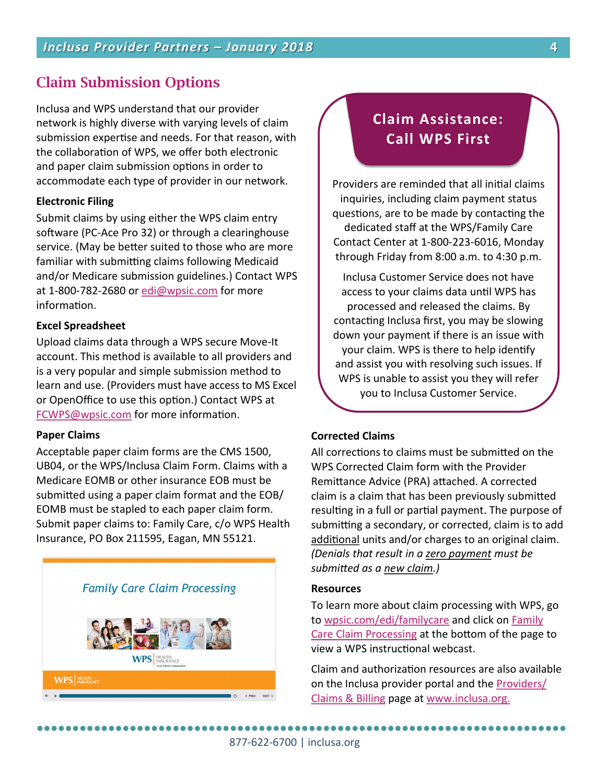## **Claim Submission Options**

Inclusa and WPS understand that our provider network is highly diverse with varying levels of claim submission expertise and needs. For that reason, with the collaboration of WPS, we offer both electronic and paper claim submission options in order to accommodate each type of provider in our network.

#### **Electronic Filing**

Submit claims by using either the WPS claim entry software (PC-Ace Pro 32) or through a clearinghouse service. (May be better suited to those who are more familiar with submitting claims following Medicaid and/or Medicare submission guidelines.) Contact WPS at 1-800-782-2680 or [edi@wpsic.com](mailto:edi@wpsic.com) for more information.

#### **Excel Spreadsheet**

Upload claims data through a WPS secure Move-It account. This method is available to all providers and is a very popular and simple submission method to learn and use. (Providers must have access to MS Excel or OpenOffice to use this option.) Contact WPS at [FCWPS@wpsic.com](mailto:FCWPS@wpsic.com) for more information.

#### **Paper Claims**

Acceptable paper claim forms are the CMS 1500, UB04, or the WPS/Inclusa Claim Form. Claims with a Medicare EOMB or other insurance EOB must be submitted using a paper claim format and the EOB/ EOMB must be stapled to each paper claim form. Submit paper claims to: Family Care, c/o WPS Health Insurance, PO Box 211595, Eagan, MN 55121.



## **Claim Assistance: Call WPS First**

Providers are reminded that all initial claims inquiries, including claim payment status questions, are to be made by contacting the dedicated staff at the WPS/Family Care Contact Center at 1-800-223-6016, Monday through Friday from 8:00 a.m. to 4:30 p.m.

Inclusa Customer Service does not have access to your claims data until WPS has processed and released the claims. By contacting Inclusa first, you may be slowing down your payment if there is an issue with your claim. WPS is there to help identify and assist you with resolving such issues. If WPS is unable to assist you they will refer you to Inclusa Customer Service.

#### **Corrected Claims**

All corrections to claims must be submitted on the WPS Corrected Claim form with the Provider Remittance Advice (PRA) attached. A corrected claim is a claim that has been previously submitted resulting in a full or partial payment. The purpose of submitting a secondary, or corrected, claim is to add additional units and/or charges to an original claim. *(Denials that result in a zero payment must be submitted as a new claim.)* 

#### **Resources**

To learn more about claim processing with WPS, go to [wpsic.com/edi/familycare](http://www.wpsic.com/edi/familycare/index.shtml) and click on [Family](http://www.wpsic.com/edi/claim-processing/family-care-claim-processing/story.html)  [Care Claim Processing](http://www.wpsic.com/edi/claim-processing/family-care-claim-processing/story.html) at the bottom of the page to view a WPS instructional webcast.

Claim and authorization resources are also available on the Inclusa provider portal and the [Providers/](http://www.inclusa.org/providers/claims-billing) [Claims & Billing](http://www.inclusa.org/providers/claims-billing) page at [www.inclusa.org.](http://www.inclusa.org)

●●●●●●●●●●●●●●●●●●●●●●●●●●●●●●●●●●●●●●●●●●●●●●●●●●●●●●●●●●●●●●●●●●●●●●●●●●